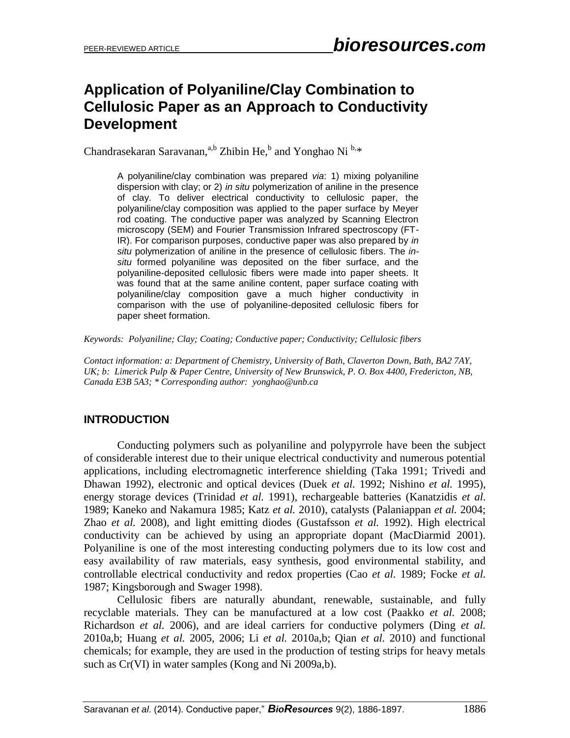# **Application of Polyaniline/Clay Combination to Cellulosic Paper as an Approach to Conductivity Development**

Chandrasekaran Saravanan,<sup>a,b</sup> Zhibin He,<sup>b</sup> and Yonghao Ni<sup>b,\*</sup>

A polyaniline/clay combination was prepared *via*: 1) mixing polyaniline dispersion with clay; or 2) *in situ* polymerization of aniline in the presence of clay. To deliver electrical conductivity to cellulosic paper, the polyaniline/clay composition was applied to the paper surface by Meyer rod coating. The conductive paper was analyzed by Scanning Electron microscopy (SEM) and Fourier Transmission Infrared spectroscopy (FT-IR). For comparison purposes, conductive paper was also prepared by *in situ* polymerization of aniline in the presence of cellulosic fibers. The *insitu* formed polyaniline was deposited on the fiber surface, and the polyaniline-deposited cellulosic fibers were made into paper sheets. It was found that at the same aniline content, paper surface coating with polyaniline/clay composition gave a much higher conductivity in comparison with the use of polyaniline-deposited cellulosic fibers for paper sheet formation.

*Keywords: Polyaniline; Clay; Coating; Conductive paper; Conductivity; Cellulosic fibers*

*Contact information: a: Department of Chemistry, University of Bath, Claverton Down, Bath, BA2 7AY, UK; b: Limerick Pulp & Paper Centre, University of New Brunswick, P. O. Box 4400, Fredericton, NB, Canada E3B 5A3; \* Corresponding author: [yonghao@unb.ca](mailto:yonghao@unb.ca)*

### **INTRODUCTION**

Conducting polymers such as polyaniline and polypyrrole have been the subject of considerable interest due to their unique electrical conductivity and numerous potential applications, including electromagnetic interference shielding (Taka 1991; Trivedi and Dhawan 1992), electronic and optical devices (Duek *et al.* 1992; Nishino *et al.* 1995), energy storage devices (Trinidad *et al.* 1991), rechargeable batteries (Kanatzidis *et al.*  1989; Kaneko and Nakamura 1985; Katz *et al.* 2010), catalysts (Palaniappan *et al.* 2004; Zhao *et al.* 2008), and light emitting diodes (Gustafsson *et al.* 1992). High electrical conductivity can be achieved by using an appropriate dopant (MacDiarmid 2001). Polyaniline is one of the most interesting conducting polymers due to its low cost and easy availability of raw materials, easy synthesis, good environmental stability, and controllable electrical conductivity and redox properties (Cao *et al.* 1989; Focke *et al.*  1987; Kingsborough and Swager 1998).

Cellulosic fibers are naturally abundant, renewable, sustainable, and fully recyclable materials. They can be manufactured at a low cost (Paakko *et al.* 2008; Richardson *et al.* 2006), and are ideal carriers for conductive polymers (Ding *et al.* 2010a,b; Huang *et al.* 2005, 2006; Li *et al.* 2010a,b; Qian *et al.* 2010) and functional chemicals; for example, they are used in the production of testing strips for heavy metals such as Cr(VI) in water samples (Kong and Ni 2009a,b).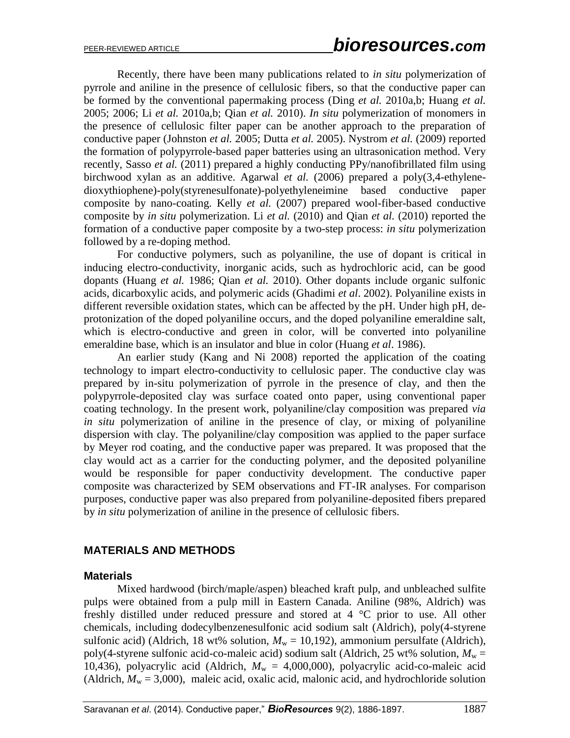Recently, there have been many publications related to *in situ* polymerization of pyrrole and aniline in the presence of cellulosic fibers, so that the conductive paper can be formed by the conventional papermaking process (Ding *et al.* 2010a,b; Huang *et al.* 2005; 2006; Li *et al.* 2010a,b; Qian *et al.* 2010). *In situ* polymerization of monomers in the presence of cellulosic filter paper can be another approach to the preparation of conductive paper (Johnston *et al.* 2005; Dutta *et al.* 2005). Nystrom *et al.* (2009) reported the formation of polypyrrole-based paper batteries using an ultrasonication method. Very recently, Sasso *et al.* (2011) prepared a highly conducting PPy/nanofibrillated film using birchwood xylan as an additive. Agarwal *et al.* (2006) prepared a poly(3,4-ethylenedioxythiophene)-poly(styrenesulfonate)-polyethyleneimine based conductive paper composite by nano-coating. Kelly *et al.* (2007) prepared wool-fiber-based conductive composite by *in situ* polymerization. Li *et al.* (2010) and Qian *et al.* (2010) reported the formation of a conductive paper composite by a two-step process: *in situ* polymerization followed by a re-doping method.

For conductive polymers, such as polyaniline, the use of dopant is critical in inducing electro-conductivity, inorganic acids, such as hydrochloric acid, can be good dopants (Huang *et al.* 1986; Qian *et al.* 2010). Other dopants include organic sulfonic acids, dicarboxylic acids, and polymeric acids (Ghadimi *et al*. 2002). Polyaniline exists in different reversible oxidation states, which can be affected by the pH. Under high pH, deprotonization of the doped polyaniline occurs, and the doped polyaniline emeraldine salt, which is electro-conductive and green in color, will be converted into polyaniline emeraldine base, which is an insulator and blue in color (Huang *et al*. 1986).

An earlier study (Kang and Ni 2008) reported the application of the coating technology to impart electro-conductivity to cellulosic paper. The conductive clay was prepared by in-situ polymerization of pyrrole in the presence of clay, and then the polypyrrole-deposited clay was surface coated onto paper, using conventional paper coating technology. In the present work, polyaniline/clay composition was prepared *via in situ* polymerization of aniline in the presence of clay, or mixing of polyaniline dispersion with clay. The polyaniline/clay composition was applied to the paper surface by Meyer rod coating, and the conductive paper was prepared. It was proposed that the clay would act as a carrier for the conducting polymer, and the deposited polyaniline would be responsible for paper conductivity development. The conductive paper composite was characterized by SEM observations and FT-IR analyses. For comparison purposes, conductive paper was also prepared from polyaniline-deposited fibers prepared by *in situ* polymerization of aniline in the presence of cellulosic fibers.

### **MATERIALS AND METHODS**

#### **Materials**

Mixed hardwood (birch/maple/aspen) bleached kraft pulp, and unbleached sulfite pulps were obtained from a pulp mill in Eastern Canada. Aniline (98%, Aldrich) was freshly distilled under reduced pressure and stored at 4 °C prior to use. All other chemicals, including dodecylbenzenesulfonic acid sodium salt (Aldrich), poly(4-styrene sulfonic acid) (Aldrich, 18 wt% solution,  $M_w = 10,192$ ), ammonium persulfate (Aldrich), poly(4-styrene sulfonic acid-co-maleic acid) sodium salt (Aldrich, 25 wt% solution,  $M_w =$ 10,436), polyacrylic acid (Aldrich,  $M_w = 4,000,000$ ), polyacrylic acid-co-maleic acid (Aldrich,  $M_w = 3,000$ ), maleic acid, oxalic acid, malonic acid, and hydrochloride solution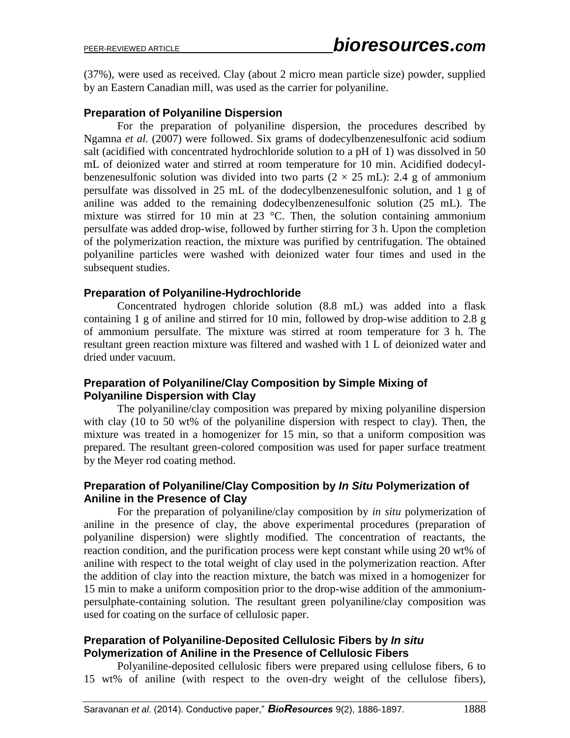(37%), were used as received. Clay (about 2 micro mean particle size) powder, supplied by an Eastern Canadian mill, was used as the carrier for polyaniline.

### **Preparation of Polyaniline Dispersion**

For the preparation of polyaniline dispersion, the procedures described by Ngamna *et al.* (2007) were followed. Six grams of dodecylbenzenesulfonic acid sodium salt (acidified with concentrated hydrochloride solution to a pH of 1) was dissolved in 50 mL of deionized water and stirred at room temperature for 10 min. Acidified dodecylbenzenesulfonic solution was divided into two parts  $(2 \times 25 \text{ mL})$ : 2.4 g of ammonium persulfate was dissolved in 25 mL of the dodecylbenzenesulfonic solution, and 1 g of aniline was added to the remaining dodecylbenzenesulfonic solution (25 mL). The mixture was stirred for 10 min at  $23^{\circ}$ C. Then, the solution containing ammonium persulfate was added drop-wise, followed by further stirring for 3 h. Upon the completion of the polymerization reaction, the mixture was purified by centrifugation. The obtained polyaniline particles were washed with deionized water four times and used in the subsequent studies.

### **Preparation of Polyaniline-Hydrochloride**

Concentrated hydrogen chloride solution (8.8 mL) was added into a flask containing 1 g of aniline and stirred for 10 min, followed by drop-wise addition to 2.8 g of ammonium persulfate. The mixture was stirred at room temperature for 3 h. The resultant green reaction mixture was filtered and washed with 1 L of deionized water and dried under vacuum.

### **Preparation of Polyaniline/Clay Composition by Simple Mixing of Polyaniline Dispersion with Clay**

The polyaniline/clay composition was prepared by mixing polyaniline dispersion with clay (10 to 50 wt% of the polyaniline dispersion with respect to clay). Then, the mixture was treated in a homogenizer for 15 min, so that a uniform composition was prepared. The resultant green-colored composition was used for paper surface treatment by the Meyer rod coating method.

### **Preparation of Polyaniline/Clay Composition by** *In Situ* **Polymerization of Aniline in the Presence of Clay**

For the preparation of polyaniline/clay composition by *in situ* polymerization of aniline in the presence of clay, the above experimental procedures (preparation of polyaniline dispersion) were slightly modified. The concentration of reactants, the reaction condition, and the purification process were kept constant while using 20 wt% of aniline with respect to the total weight of clay used in the polymerization reaction. After the addition of clay into the reaction mixture, the batch was mixed in a homogenizer for 15 min to make a uniform composition prior to the drop-wise addition of the ammoniumpersulphate-containing solution. The resultant green polyaniline/clay composition was used for coating on the surface of cellulosic paper.

### **Preparation of Polyaniline-Deposited Cellulosic Fibers by** *In situ* **Polymerization of Aniline in the Presence of Cellulosic Fibers**

Polyaniline-deposited cellulosic fibers were prepared using cellulose fibers, 6 to 15 wt% of aniline (with respect to the oven-dry weight of the cellulose fibers),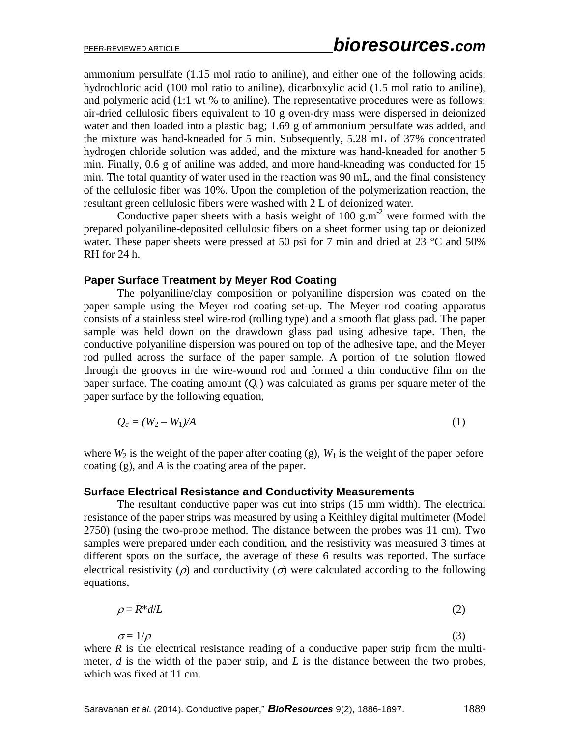ammonium persulfate (1.15 mol ratio to aniline), and either one of the following acids: hydrochloric acid (100 mol ratio to aniline), dicarboxylic acid (1.5 mol ratio to aniline), and polymeric acid (1:1 wt % to aniline). The representative procedures were as follows: air-dried cellulosic fibers equivalent to 10 g oven-dry mass were dispersed in deionized water and then loaded into a plastic bag; 1.69 g of ammonium persulfate was added, and the mixture was hand-kneaded for 5 min. Subsequently, 5.28 mL of 37% concentrated hydrogen chloride solution was added, and the mixture was hand-kneaded for another 5 min. Finally, 0.6 g of aniline was added, and more hand-kneading was conducted for 15 min. The total quantity of water used in the reaction was 90 mL, and the final consistency of the cellulosic fiber was 10%. Upon the completion of the polymerization reaction, the resultant green cellulosic fibers were washed with 2 L of deionized water.

Conductive paper sheets with a basis weight of 100  $\text{g.m}^{-2}$  were formed with the prepared polyaniline-deposited cellulosic fibers on a sheet former using tap or deionized water. These paper sheets were pressed at 50 psi for 7 min and dried at 23 °C and 50% RH for 24 h.

#### **Paper Surface Treatment by Meyer Rod Coating**

The polyaniline/clay composition or polyaniline dispersion was coated on the paper sample using the Meyer rod coating set-up. The Meyer rod coating apparatus consists of a stainless steel wire-rod (rolling type) and a smooth flat glass pad. The paper sample was held down on the drawdown glass pad using adhesive tape. Then, the conductive polyaniline dispersion was poured on top of the adhesive tape, and the Meyer rod pulled across the surface of the paper sample. A portion of the solution flowed through the grooves in the wire-wound rod and formed a thin conductive film on the paper surface. The coating amount  $(Q_c)$  was calculated as grams per square meter of the paper surface by the following equation,

$$
Q_c = (W_2 - W_1)/A \tag{1}
$$

where  $W_2$  is the weight of the paper after coating (g),  $W_1$  is the weight of the paper before coating (g), and *A* is the coating area of the paper.

#### **Surface Electrical Resistance and Conductivity Measurements**

The resultant conductive paper was cut into strips (15 mm width). The electrical resistance of the paper strips was measured by using a Keithley digital multimeter (Model 2750) (using the two-probe method. The distance between the probes was 11 cm). Two samples were prepared under each condition, and the resistivity was measured 3 times at different spots on the surface, the average of these 6 results was reported. The surface electrical resistivity ( $\rho$ ) and conductivity ( $\sigma$ ) were calculated according to the following equations,

$$
\rho = R^* d / L \tag{2}
$$

 $\sigma = 1/\rho$  (3)

where  $R$  is the electrical resistance reading of a conductive paper strip from the multimeter, *d* is the width of the paper strip, and *L* is the distance between the two probes, which was fixed at 11 cm.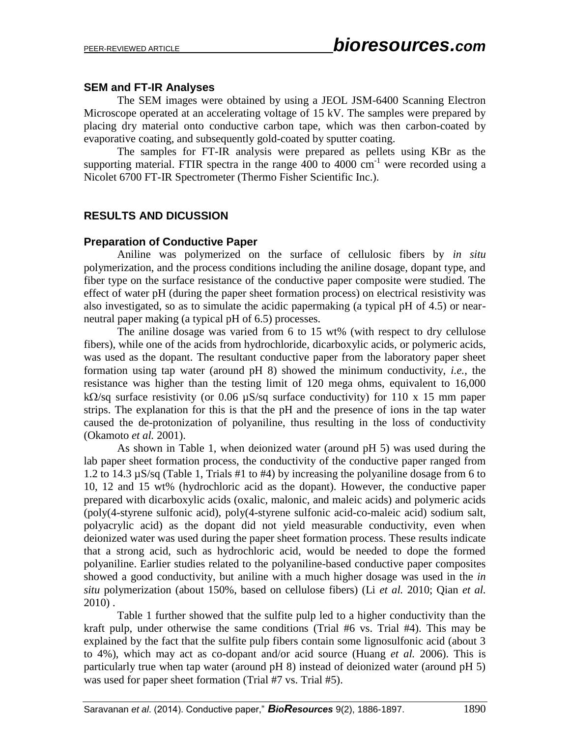### **SEM and FT-IR Analyses**

The SEM images were obtained by using a JEOL JSM-6400 Scanning Electron Microscope operated at an accelerating voltage of 15 kV. The samples were prepared by placing dry material onto conductive carbon tape, which was then carbon-coated by evaporative coating, and subsequently gold-coated by sputter coating.

The samples for FT-IR analysis were prepared as pellets using KBr as the supporting material. FTIR spectra in the range 400 to 4000  $cm^{-1}$  were recorded using a Nicolet 6700 FT-IR Spectrometer (Thermo Fisher Scientific Inc.).

### **RESULTS AND DICUSSION**

### **Preparation of Conductive Paper**

Aniline was polymerized on the surface of cellulosic fibers by *in situ* polymerization, and the process conditions including the aniline dosage, dopant type, and fiber type on the surface resistance of the conductive paper composite were studied. The effect of water pH (during the paper sheet formation process) on electrical resistivity was also investigated, so as to simulate the acidic papermaking (a typical pH of 4.5) or nearneutral paper making (a typical pH of 6.5) processes.

The aniline dosage was varied from 6 to 15 wt% (with respect to dry cellulose fibers), while one of the acids from hydrochloride, dicarboxylic acids, or polymeric acids, was used as the dopant. The resultant conductive paper from the laboratory paper sheet formation using tap water (around pH 8) showed the minimum conductivity, *i.e.*, the resistance was higher than the testing limit of 120 mega ohms, equivalent to 16,000 k $\Omega$ /sq surface resistivity (or 0.06  $\mu$ S/sq surface conductivity) for 110 x 15 mm paper strips. The explanation for this is that the pH and the presence of ions in the tap water caused the de-protonization of polyaniline, thus resulting in the loss of conductivity (Okamoto *et al.* 2001).

As shown in Table 1, when deionized water (around pH 5) was used during the lab paper sheet formation process, the conductivity of the conductive paper ranged from 1.2 to 14.3 µS/sq (Table 1, Trials #1 to #4) by increasing the polyaniline dosage from 6 to 10, 12 and 15 wt% (hydrochloric acid as the dopant). However, the conductive paper prepared with dicarboxylic acids (oxalic, malonic, and maleic acids) and polymeric acids (poly(4-styrene sulfonic acid), poly(4-styrene sulfonic acid-co-maleic acid) sodium salt, polyacrylic acid) as the dopant did not yield measurable conductivity, even when deionized water was used during the paper sheet formation process. These results indicate that a strong acid, such as hydrochloric acid, would be needed to dope the formed polyaniline. Earlier studies related to the polyaniline-based conductive paper composites showed a good conductivity, but aniline with a much higher dosage was used in the *in situ* polymerization (about 150%, based on cellulose fibers) (Li *et al.* 2010; Qian *et al.* 2010) .

Table 1 further showed that the sulfite pulp led to a higher conductivity than the kraft pulp, under otherwise the same conditions (Trial #6 vs. Trial #4). This may be explained by the fact that the sulfite pulp fibers contain some lignosulfonic acid (about 3 to 4%), which may act as co-dopant and/or acid source (Huang *et al.* 2006). This is particularly true when tap water (around pH 8) instead of deionized water (around pH 5) was used for paper sheet formation (Trial #7 vs. Trial #5).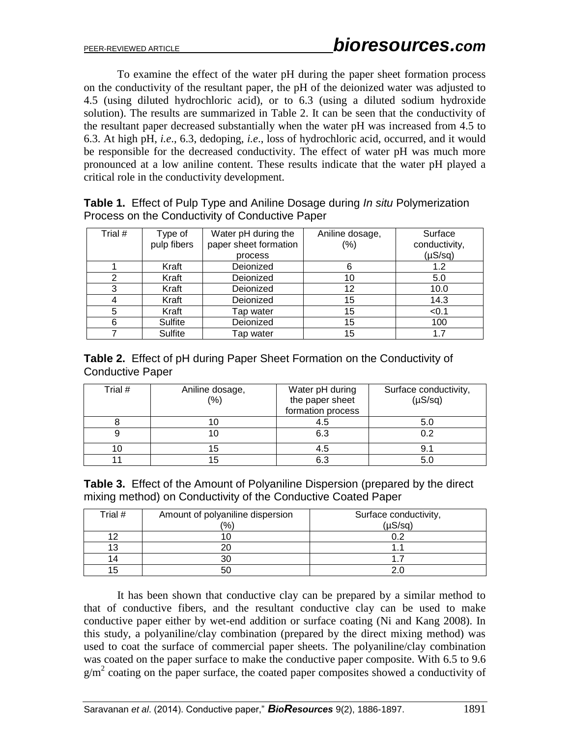To examine the effect of the water pH during the paper sheet formation process on the conductivity of the resultant paper, the pH of the deionized water was adjusted to 4.5 (using diluted hydrochloric acid), or to 6.3 (using a diluted sodium hydroxide solution). The results are summarized in Table 2. It can be seen that the conductivity of the resultant paper decreased substantially when the water pH was increased from 4.5 to 6.3. At high pH, *i.e*., 6.3, dedoping, *i.e*., loss of hydrochloric acid, occurred, and it would be responsible for the decreased conductivity. The effect of water pH was much more pronounced at a low aniline content. These results indicate that the water pH played a critical role in the conductivity development.

| Trial # | Type of     | Water pH during the   | Aniline dosage, | Surface       |
|---------|-------------|-----------------------|-----------------|---------------|
|         | pulp fibers | paper sheet formation | $(\%)$          | conductivity, |
|         |             | process               |                 | $(\mu S/sq)$  |
|         | Kraft       | Deionized             | 6               | 1.2           |
|         | Kraft       | Deionized             | 10              | 5.0           |
| 3       | Kraft       | Deionized             | 12              | 10.0          |
|         | Kraft       | Deionized             | 15              | 14.3          |
| 5       | Kraft       | Tap water             | 15              | < 0.1         |
| 6       | Sulfite     | Deionized             | 15              | 100           |
|         | Sulfite     | Tap water             | 15              | 17            |

**Table 1.** Effect of Pulp Type and Aniline Dosage during *In situ* Polymerization Process on the Conductivity of Conductive Paper

**Table 2.** Effect of pH during Paper Sheet Formation on the Conductivity of Conductive Paper

| Trial # | Aniline dosage,<br>(%) | Water pH during<br>the paper sheet<br>formation process | Surface conductivity,<br>$(\mu S/sq)$ |
|---------|------------------------|---------------------------------------------------------|---------------------------------------|
|         | IО                     | 4.5                                                     | 5.0                                   |
|         | IО                     | 6.3                                                     | 0.2                                   |
| 10      | 15                     | 4.5                                                     | 9.1                                   |
|         | 15                     | 6.3                                                     | 5.0                                   |

|  | <b>Table 3.</b> Effect of the Amount of Polyaniline Dispersion (prepared by the direct |
|--|----------------------------------------------------------------------------------------|
|  | mixing method) on Conductivity of the Conductive Coated Paper                          |

| Trial # | Amount of polyaniline dispersion | Surface conductivity, |
|---------|----------------------------------|-----------------------|
|         | $\frac{1}{2}$                    | $(1)$ S/cn $)$        |
|         |                                  |                       |
|         |                                  |                       |
|         |                                  |                       |
|         | 50                               |                       |

It has been shown that conductive clay can be prepared by a similar method to that of conductive fibers, and the resultant conductive clay can be used to make conductive paper either by wet-end addition or surface coating (Ni and Kang 2008). In this study, a polyaniline/clay combination (prepared by the direct mixing method) was used to coat the surface of commercial paper sheets. The polyaniline/clay combination was coated on the paper surface to make the conductive paper composite. With 6.5 to 9.6  $g/m^2$  coating on the paper surface, the coated paper composites showed a conductivity of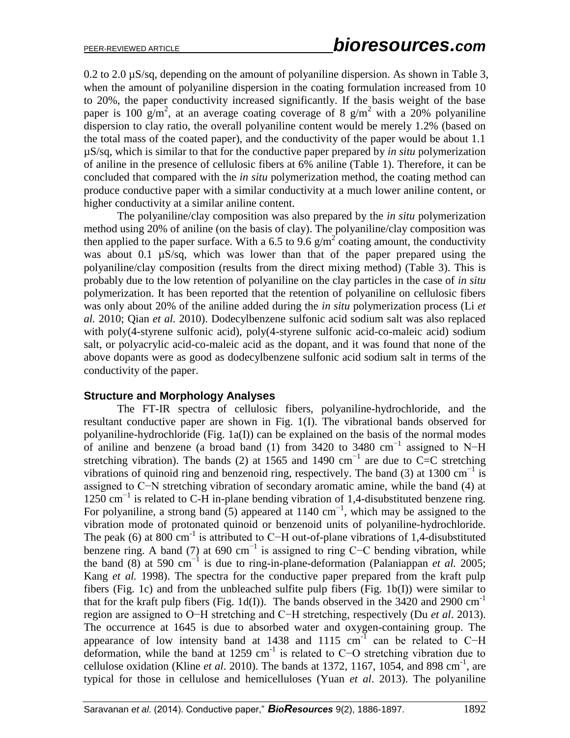0.2 to 2.0 µS/sq, depending on the amount of polyaniline dispersion. As shown in Table 3, when the amount of polyaniline dispersion in the coating formulation increased from 10 to 20%, the paper conductivity increased significantly. If the basis weight of the base paper is 100 g/m<sup>2</sup>, at an average coating coverage of 8 g/m<sup>2</sup> with a 20% polyaniline dispersion to clay ratio, the overall polyaniline content would be merely 1.2% (based on the total mass of the coated paper), and the conductivity of the paper would be about 1.1 µS/sq, which is similar to that for the conductive paper prepared by *in situ* polymerization of aniline in the presence of cellulosic fibers at 6% aniline (Table 1). Therefore, it can be concluded that compared with the *in situ* polymerization method, the coating method can produce conductive paper with a similar conductivity at a much lower aniline content, or higher conductivity at a similar aniline content.

The polyaniline/clay composition was also prepared by the *in situ* polymerization method using 20% of aniline (on the basis of clay). The polyaniline/clay composition was then applied to the paper surface. With a 6.5 to 9.6  $g/m^2$  coating amount, the conductivity was about 0.1  $\mu$ S/sq, which was lower than that of the paper prepared using the polyaniline/clay composition (results from the direct mixing method) (Table 3). This is probably due to the low retention of polyaniline on the clay particles in the case of *in situ* polymerization. It has been reported that the retention of polyaniline on cellulosic fibers was only about 20% of the aniline added during the *in situ* polymerization process (Li *et al.* 2010; Qian *et al.* 2010). Dodecylbenzene sulfonic acid sodium salt was also replaced with poly(4-styrene sulfonic acid), poly(4-styrene sulfonic acid-co-maleic acid) sodium salt, or polyacrylic acid-co-maleic acid as the dopant, and it was found that none of the above dopants were as good as dodecylbenzene sulfonic acid sodium salt in terms of the conductivity of the paper.

### **Structure and Morphology Analyses**

The FT-IR spectra of cellulosic fibers, polyaniline-hydrochloride, and the resultant conductive paper are shown in Fig. 1(I). The vibrational bands observed for polyaniline-hydrochloride (Fig. 1a(I)) can be explained on the basis of the normal modes of aniline and benzene (a broad band (1) from 3420 to 3480 cm−1 assigned to N−H stretching vibration). The bands (2) at 1565 and 1490 cm<sup>-1</sup> are due to C=C stretching vibrations of quinoid ring and benzenoid ring, respectively. The band (3) at 1300 cm<sup>-1</sup> is assigned to C−N stretching vibration of secondary aromatic amine, while the band (4) at 1250 cm−1 is related to C-H in-plane bending vibration of 1,4-disubstituted benzene ring. For polyaniline, a strong band  $(5)$  appeared at 1140 cm<sup>-1</sup>, which may be assigned to the vibration mode of protonated quinoid or benzenoid units of polyaniline-hydrochloride. The peak (6) at 800 cm<sup>-1</sup> is attributed to C-H out-of-plane vibrations of 1,4-disubstituted benzene ring. A band (7) at 690 cm<sup>-1</sup> is assigned to ring C-C bending vibration, while the band  $(8)$  at 590 cm<sup>-1</sup> is due to ring-in-plane-deformation (Palaniappan *et al.* 2005; Kang *et al.* 1998). The spectra for the conductive paper prepared from the kraft pulp fibers (Fig. 1c) and from the unbleached sulfite pulp fibers (Fig. 1b(I)) were similar to that for the kraft pulp fibers (Fig. 1d(I)). The bands observed in the 3420 and 2900  $cm^{-1}$ region are assigned to O−H stretching and C−H stretching, respectively (Du *et al*. 2013). The occurrence at 1645 is due to absorbed water and oxygen-containing group. The appearance of low intensity band at 1438 and 1115 cm<sup>-1</sup> can be related to C−H deformation, while the band at 1259 cm-1 is related to C−O stretching vibration due to cellulose oxidation (Kline *et al.* 2010). The bands at 1372, 1167, 1054, and 898 cm<sup>-1</sup>, are typical for those in cellulose and hemicelluloses (Yuan *et al*. 2013). The polyaniline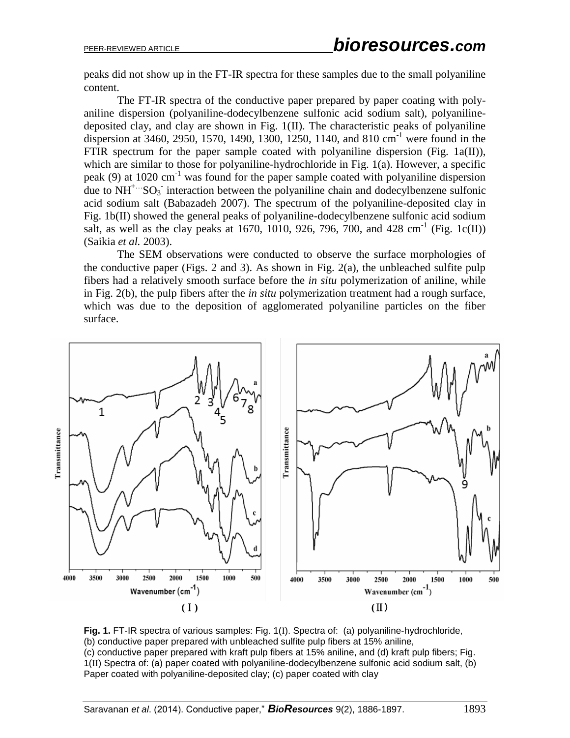peaks did not show up in the FT-IR spectra for these samples due to the small polyaniline content.

The FT-IR spectra of the conductive paper prepared by paper coating with polyaniline dispersion (polyaniline-dodecylbenzene sulfonic acid sodium salt), polyanilinedeposited clay, and clay are shown in Fig. 1(II). The characteristic peaks of polyaniline dispersion at 3460, 2950, 1570, 1490, 1300, 1250, 1140, and 810 cm-1 were found in the FTIR spectrum for the paper sample coated with polyaniline dispersion (Fig. 1a(II)), which are similar to those for polyaniline-hydrochloride in Fig. 1(a). However, a specific peak (9) at  $1020 \text{ cm}^{-1}$  was found for the paper sample coated with polyaniline dispersion due to  $NH<sup>+</sup>··SO<sub>3</sub>$  interaction between the polyaniline chain and dodecylbenzene sulfonic acid sodium salt (Babazadeh 2007). The spectrum of the polyaniline-deposited clay in Fig. 1b(II) showed the general peaks of polyaniline-dodecylbenzene sulfonic acid sodium salt, as well as the clay peaks at 1670, 1010, 926, 796, 700, and 428 cm<sup>-1</sup> (Fig. 1c(II)) (Saikia *et al.* 2003).

The SEM observations were conducted to observe the surface morphologies of the conductive paper (Figs. 2 and 3). As shown in Fig. 2(a), the unbleached sulfite pulp fibers had a relatively smooth surface before the *in situ* polymerization of aniline, while in Fig. 2(b), the pulp fibers after the *in situ* polymerization treatment had a rough surface, which was due to the deposition of agglomerated polyaniline particles on the fiber surface.



**Fig. 1.** FT-IR spectra of various samples: Fig. 1(I). Spectra of: (a) polyaniline-hydrochloride, (b) conductive paper prepared with unbleached sulfite pulp fibers at 15% aniline, (c) conductive paper prepared with kraft pulp fibers at 15% aniline, and (d) kraft pulp fibers; Fig. 1(II) Spectra of: (a) paper coated with polyaniline-dodecylbenzene sulfonic acid sodium salt, (b) Paper coated with polyaniline-deposited clay; (c) paper coated with clay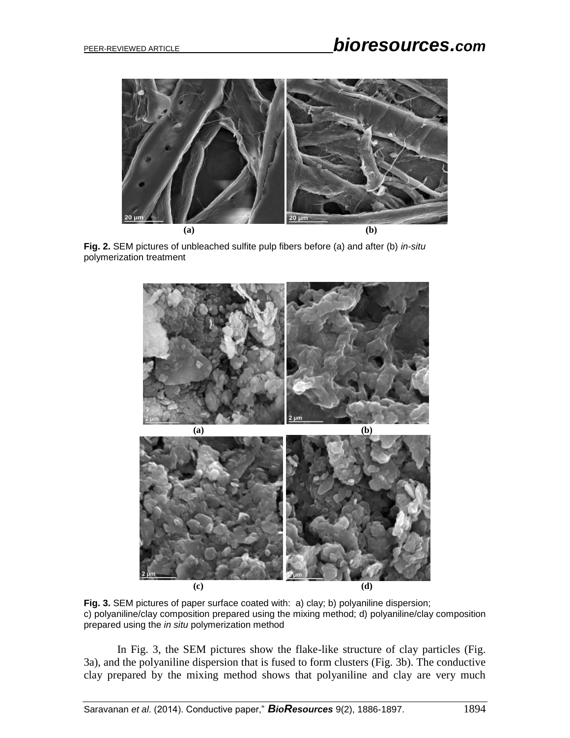

**Fig. 2.** SEM pictures of unbleached sulfite pulp fibers before (a) and after (b) *in-situ* polymerization treatment



**Fig. 3.** SEM pictures of paper surface coated with: a) clay; b) polyaniline dispersion; c) polyaniline/clay composition prepared using the mixing method; d) polyaniline/clay composition prepared using the *in situ* polymerization method

In Fig. 3, the SEM pictures show the flake-like structure of clay particles (Fig. 3a), and the polyaniline dispersion that is fused to form clusters (Fig. 3b). The conductive clay prepared by the mixing method shows that polyaniline and clay are very much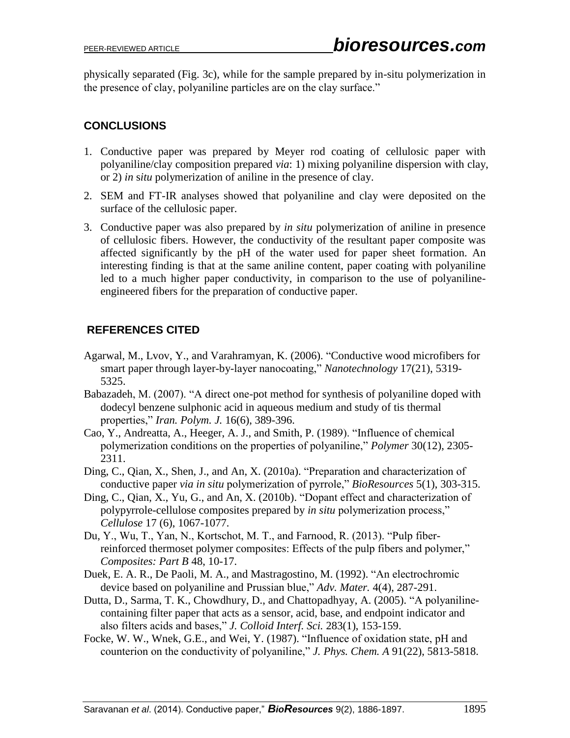physically separated (Fig. 3c), while for the sample prepared by in-situ polymerization in the presence of clay, polyaniline particles are on the clay surface."

# **CONCLUSIONS**

- 1. Conductive paper was prepared by Meyer rod coating of cellulosic paper with polyaniline/clay composition prepared *via*: 1) mixing polyaniline dispersion with clay, or 2) *in* s*itu* polymerization of aniline in the presence of clay.
- 2. SEM and FT-IR analyses showed that polyaniline and clay were deposited on the surface of the cellulosic paper.
- 3. Conductive paper was also prepared by *in situ* polymerization of aniline in presence of cellulosic fibers. However, the conductivity of the resultant paper composite was affected significantly by the pH of the water used for paper sheet formation. An interesting finding is that at the same aniline content, paper coating with polyaniline led to a much higher paper conductivity, in comparison to the use of polyanilineengineered fibers for the preparation of conductive paper.

# **REFERENCES CITED**

- Agarwal, M., Lvov, Y., and Varahramyan, K. (2006). "Conductive wood microfibers for smart paper through layer-by-layer nanocoating," *Nanotechnology* 17(21), 5319- 5325.
- Babazadeh, M. (2007). "A direct one-pot method for synthesis of polyaniline doped with dodecyl benzene sulphonic acid in aqueous medium and study of tis thermal properties," *Iran. Polym. J.* 16(6), 389-396.
- Cao, Y., Andreatta, A., Heeger, A. J., and Smith, P. (1989). "Influence of chemical polymerization conditions on the properties of polyaniline," *Polymer* 30(12), 2305- 2311.
- Ding, C., Qian, X., Shen, J., and An, X. (2010a). "Preparation and characterization of conductive paper *via in situ* polymerization of pyrrole," *BioResources* 5(1), 303-315.
- Ding, C., Qian, X., Yu, G., and An, X. (2010b). "Dopant effect and characterization of polypyrrole-cellulose composites prepared by *in situ* polymerization process," *Cellulose* 17 (6), 1067-1077.
- Du, Y., Wu, T., Yan, N., Kortschot, M. T., and Farnood, R. (2013). "Pulp fiberreinforced thermoset polymer composites: Effects of the pulp fibers and polymer," *Composites: Part B* 48, 10-17.
- Duek, E. A. R., De Paoli, M. A., and Mastragostino, M. (1992). "An electrochromic device based on polyaniline and Prussian blue," *Adv. Mater.* 4(4), 287-291.
- Dutta, D., Sarma, T. K., Chowdhury, D., and Chattopadhyay, A. (2005). "A polyanilinecontaining filter paper that acts as a sensor, acid, base, and endpoint indicator and also filters acids and bases," *J. Colloid Interf. Sci.* 283(1), 153-159.
- Focke, W. W., Wnek, G.E., and Wei, Y. (1987). "Influence of oxidation state, pH and counterion on the conductivity of polyaniline," *J. Phys. Chem. A* 91(22), 5813-5818.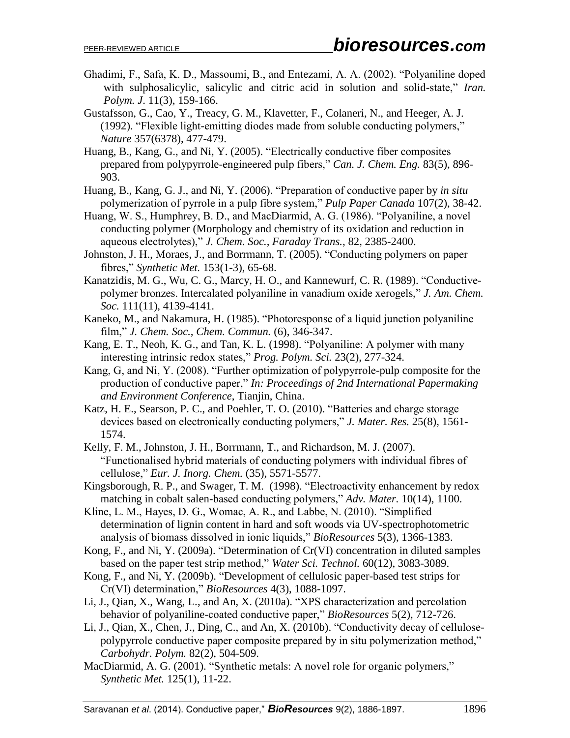- Ghadimi, F., Safa, K. D., Massoumi, B., and Entezami, A. A. (2002). "Polyaniline doped with sulphosalicylic, salicylic and citric acid in solution and solid-state," *Iran. Polym. J*. 11(3), 159-166.
- Gustafsson, G., Cao, Y., Treacy, G. M., Klavetter, F., Colaneri, N., and Heeger, A. J. (1992). "Flexible light-emitting diodes made from soluble conducting polymers," *Nature* 357(6378), 477-479.
- Huang, B., Kang, G., and Ni, Y. (2005). "Electrically conductive fiber composites prepared from polypyrrole-engineered pulp fibers," *Can. J. Chem. Eng.* 83(5), 896- 903.
- Huang, B., Kang, G. J., and Ni, Y. (2006). "Preparation of conductive paper by *in situ* polymerization of pyrrole in a pulp fibre system," *Pulp Paper Canada* 107(2), 38-42.
- Huang, W. S., Humphrey, B. D., and MacDiarmid, A. G. (1986). "Polyaniline, a novel conducting polymer (Morphology and chemistry of its oxidation and reduction in aqueous electrolytes)," *J. Chem. Soc., Faraday Trans.*, 82, 2385-2400.
- Johnston, J. H., Moraes, J., and Borrmann, T. (2005). "Conducting polymers on paper fibres," *Synthetic Met.* 153(1-3), 65-68.
- Kanatzidis, M. G., Wu, C. G., Marcy, H. O., and Kannewurf, C. R. (1989). "Conductivepolymer bronzes. Intercalated polyaniline in vanadium oxide xerogels," *J. Am. Chem. Soc.* 111(11), 4139-4141.
- Kaneko, M., and Nakamura, H. (1985). "Photoresponse of a liquid junction polyaniline film," *J. Chem. Soc., Chem. Commun.* (6), 346-347.
- Kang, E. T., Neoh, K. G., and Tan, K. L. (1998). "Polyaniline: A polymer with many interesting intrinsic redox states," *Prog. Polym. Sci.* 23(2), 277-324.
- Kang, G, and Ni, Y. (2008). "Further optimization of polypyrrole-pulp composite for the production of conductive paper," *In: Proceedings of 2nd International Papermaking and Environment Conference*, Tianjin, China.
- Katz, H. E., Searson, P. C., and Poehler, T. O. (2010). "Batteries and charge storage devices based on electronically conducting polymers," *J. Mater. Res.* 25(8), 1561- 1574.
- Kelly, F. M., Johnston, J. H., Borrmann, T., and Richardson, M. J. (2007). "Functionalised hybrid materials of conducting polymers with individual fibres of cellulose," *Eur. J. Inorg. Chem.* (35), 5571-5577.
- Kingsborough, R. P., and Swager, T. M. (1998). "Electroactivity enhancement by redox matching in cobalt salen-based conducting polymers," *Adv. Mater.* 10(14), 1100.
- Kline, L. M., Hayes, D. G., Womac, A. R., and Labbe, N. (2010). "Simplified determination of lignin content in hard and soft woods via UV-spectrophotometric analysis of biomass dissolved in ionic liquids," *BioResources* 5(3), 1366-1383.
- Kong, F., and Ni, Y. (2009a). ["Determination of Cr\(VI\) concentration in diluted samples](http://apps.webofknowledge.com/full_record.do?product=WOS&search_mode=AdvancedSearch&qid=3&SID=R1oh66dk9pchkKceJlf&page=1&doc=2)  [based on the paper test strip method,"](http://apps.webofknowledge.com/full_record.do?product=WOS&search_mode=AdvancedSearch&qid=3&SID=R1oh66dk9pchkKceJlf&page=1&doc=2) *Water Sci. Technol.* 60(12), 3083-3089.
- Kong, F., and Ni, Y. (2009b). ["Development of cellulosic paper-based test strips for](http://apps.webofknowledge.com/full_record.do?product=WOS&search_mode=AdvancedSearch&qid=3&SID=R1oh66dk9pchkKceJlf&page=1&doc=3)  [Cr\(VI\) determination,"](http://apps.webofknowledge.com/full_record.do?product=WOS&search_mode=AdvancedSearch&qid=3&SID=R1oh66dk9pchkKceJlf&page=1&doc=3) *BioResources* 4(3), 1088-1097.
- Li, J., Qian, X., Wang, L., and An, X. (2010a). "XPS characterization and percolation behavior of polyaniline-coated conductive paper," *BioResources* 5(2), 712-726.
- Li, J., Qian, X., Chen, J., Ding, C., and An, X. (2010b). "Conductivity decay of cellulosepolypyrrole conductive paper composite prepared by in situ polymerization method," *Carbohydr. Polym.* 82(2), 504-509.
- MacDiarmid, A. G. (2001). "Synthetic metals: A novel role for organic polymers," *Synthetic Met.* 125(1), 11-22.